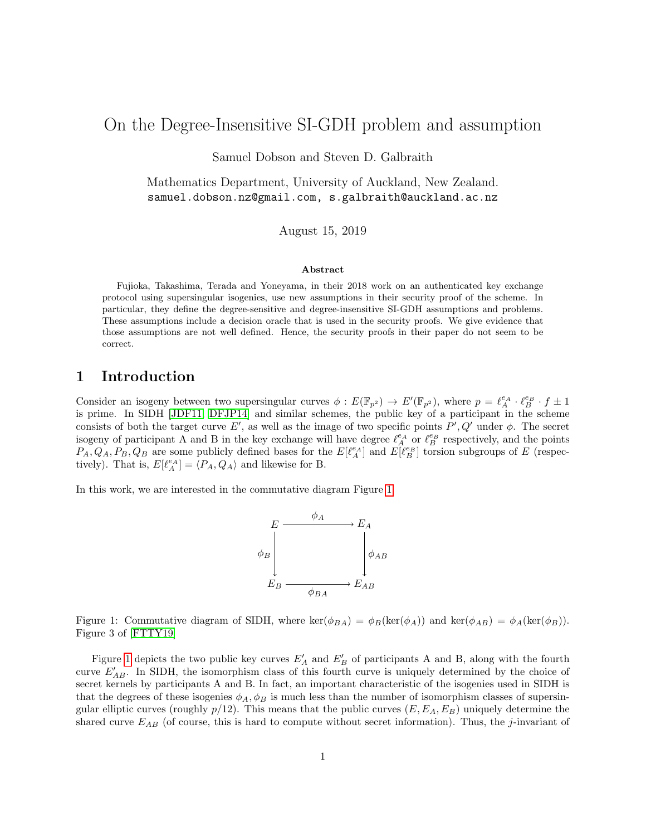# On the Degree-Insensitive SI-GDH problem and assumption

Samuel Dobson and Steven D. Galbraith

Mathematics Department, University of Auckland, New Zealand. samuel.dobson.nz@gmail.com, s.galbraith@auckland.ac.nz

August 15, 2019

#### Abstract

Fujioka, Takashima, Terada and Yoneyama, in their 2018 work on an authenticated key exchange protocol using supersingular isogenies, use new assumptions in their security proof of the scheme. In particular, they define the degree-sensitive and degree-insensitive SI-GDH assumptions and problems. These assumptions include a decision oracle that is used in the security proofs. We give evidence that those assumptions are not well defined. Hence, the security proofs in their paper do not seem to be correct.

### 1 Introduction

Consider an isogeny between two supersingular curves  $\phi : E(\mathbb{F}_{p^2}) \to E'(\mathbb{F}_{p^2})$ , where  $p = \ell_A^{e_A} \cdot \ell_B^{e_B} \cdot f \pm 1$ is prime. In SIDH [\[JDF11,](#page-6-0) [DFJP14\]](#page-6-1) and similar schemes, the public key of a participant in the scheme consists of both the target curve E', as well as the image of two specific points  $P', Q'$  under  $\phi$ . The secret isogeny of participant A and B in the key exchange will have degree  $\ell_A^{e_A}$  or  $\ell_B^{e_B}$  respectively, and the points  $P_A, Q_A, P_B, Q_B$  are some publicly defined bases for the  $E[\ell_A^{e_A}]$  and  $E[\ell_B^{e_B}]$  torsion subgroups of E (respectively). That is,  $E[\ell_A^{e_A}] = \langle P_A, Q_A \rangle$  and likewise for B.

In this work, we are interested in the commutative diagram Figure [1.](#page-0-0)



<span id="page-0-0"></span>Figure 1: Commutative diagram of SIDH, where ker( $\phi_{BA}$ ) =  $\phi_B(\ker(\phi_A))$  and ker( $\phi_{AB}$ ) =  $\phi_A(\ker(\phi_B))$ . Figure 3 of [\[FTTY19\]](#page-6-2)

Figure [1](#page-0-0) depicts the two public key curves  $E'_A$  and  $E'_B$  of participants A and B, along with the fourth curve  $E'_{AB}$ . In SIDH, the isomorphism class of this fourth curve is uniquely determined by the choice of secret kernels by participants A and B. In fact, an important characteristic of the isogenies used in SIDH is that the degrees of these isogenies  $\phi_A$ ,  $\phi_B$  is much less than the number of isomorphism classes of supersingular elliptic curves (roughly  $p/12$ ). This means that the public curves  $(E, E<sub>A</sub>, E<sub>B</sub>)$  uniquely determine the shared curve  $E_{AB}$  (of course, this is hard to compute without secret information). Thus, the j-invariant of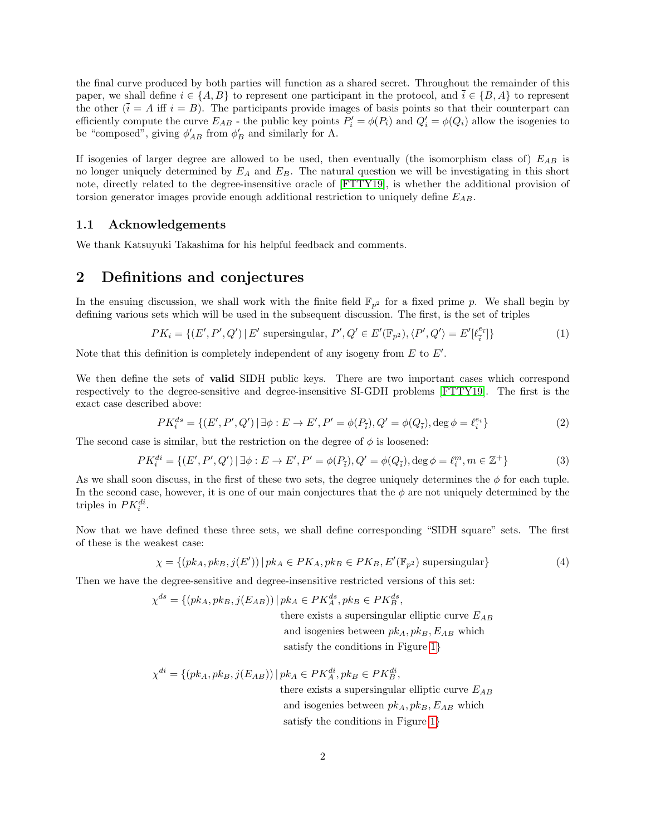the final curve produced by both parties will function as a shared secret. Throughout the remainder of this paper, we shall define  $i \in \{A, B\}$  to represent one participant in the protocol, and  $\overline{i} \in \{B, A\}$  to represent the other  $(\tilde{i} = A \text{ iff } i = B)$ . The participants provide images of basis points so that their counterpart can efficiently compute the curve  $E_{AB}$  - the public key points  $P'_i = \phi(P_i)$  and  $Q'_i = \phi(Q_i)$  allow the isogenies to be "composed", giving  $\phi'_{AB}$  from  $\phi'_{B}$  and similarly for A.

If isogenies of larger degree are allowed to be used, then eventually (the isomorphism class of)  $E_{AB}$  is no longer uniquely determined by  $E_A$  and  $E_B$ . The natural question we will be investigating in this short note, directly related to the degree-insensitive oracle of [\[FTTY19\]](#page-6-2), is whether the additional provision of torsion generator images provide enough additional restriction to uniquely define  $E_{AB}$ .

#### 1.1 Acknowledgements

We thank Katsuyuki Takashima for his helpful feedback and comments.

## 2 Definitions and conjectures

In the ensuing discussion, we shall work with the finite field  $\mathbb{F}_{p^2}$  for a fixed prime p. We shall begin by defining various sets which will be used in the subsequent discussion. The first, is the set of triples

$$
PK_i = \{ (E', P', Q') \mid E' \text{ supersingular}, P', Q' \in E'(\mathbb{F}_{p^2}), \langle P', Q' \rangle = E'[\ell_{\overline{i}}^{\mathcal{C}_{\overline{i}}}] \}
$$
(1)

Note that this definition is completely independent of any isogeny from  $E$  to  $E'$ .

We then define the sets of valid SIDH public keys. There are two important cases which correspond respectively to the degree-sensitive and degree-insensitive SI-GDH problems [\[FTTY19\]](#page-6-2). The first is the exact case described above:

$$
PK_i^{ds} = \{ (E', P', Q') \mid \exists \phi : E \to E', P' = \phi(P_i), Q' = \phi(Q_i), \deg \phi = \ell_i^{e_i} \}
$$
(2)

The second case is similar, but the restriction on the degree of  $\phi$  is loosened:

$$
PK_i^{di} = \{ (E', P', Q') \mid \exists \phi : E \to E', P' = \phi(P_{\overline{i}}), Q' = \phi(Q_{\overline{i}}), \deg \phi = \ell_i^m, m \in \mathbb{Z}^+ \}
$$
(3)

As we shall soon discuss, in the first of these two sets, the degree uniquely determines the  $\phi$  for each tuple. In the second case, however, it is one of our main conjectures that the  $\phi$  are not uniquely determined by the triples in  $PK_i^{di}$ .

Now that we have defined these three sets, we shall define corresponding "SIDH square" sets. The first of these is the weakest case:

$$
\chi = \{ (pk_A, pk_B, j(E')) \mid pk_A \in PK_A, pk_B \in PK_B, E'(\mathbb{F}_{p^2}) \text{ supersingular} \}
$$
 (4)

Then we have the degree-sensitive and degree-insensitive restricted versions of this set:

$$
\chi^{ds} = \{ (pk_A, pk_B, j(E_{AB})) \mid pk_A \in PK_A^{ds}, pk_B \in PK_B^{ds},
$$
 there exists a supersingular elliptic curve  $E_{AB}$  and isogenies between  $pk_A$ ,  $pk_B$ ,  $E_{AB}$  which

satisfy the conditions in Figure [1](#page-0-0)}

$$
\chi^{di} = \{ (pk_A, pk_B, j(E_{AB})) \mid pk_A \in PK_A^{di}, pk_B \in PK_B^{di},
$$
  
there exists a supersingular elliptic curv

there is a supersingular elliptic curve  $E_{AB}$ and isogenies between  $pk_A, pk_B, E_{AB}$  which satisfy the conditions in Figure [1](#page-0-0)}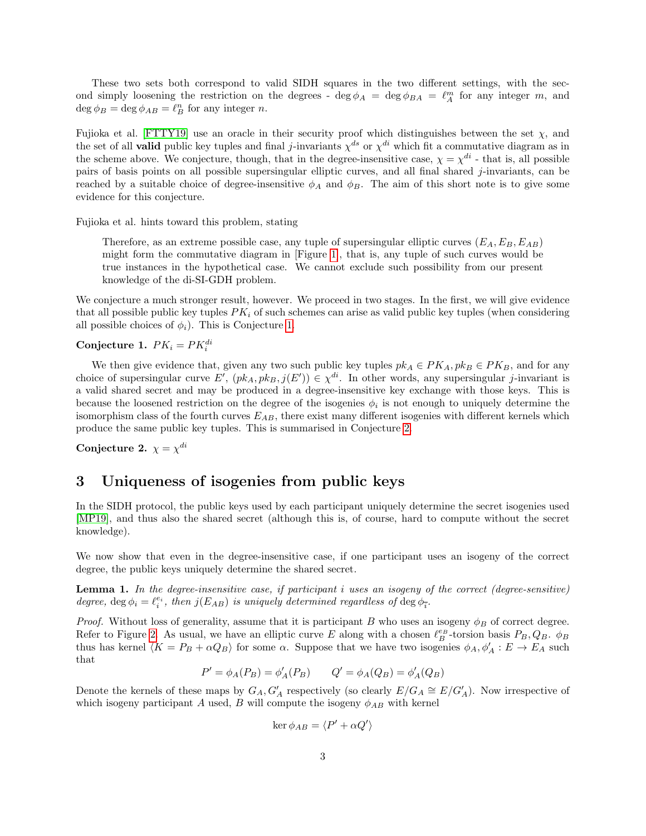These two sets both correspond to valid SIDH squares in the two different settings, with the second simply loosening the restriction on the degrees -  $\deg \phi_A = \deg \phi_{BA} = \ell_A^m$  for any integer m, and  $\deg \phi_B = \deg \phi_{AB} = \ell_B^n$  for any integer *n*.

Fujioka et al. [\[FTTY19\]](#page-6-2) use an oracle in their security proof which distinguishes between the set  $\chi$ , and the set of all **valid** public key tuples and final j-invariants  $\chi^{ds}$  or  $\chi^{di}$  which fit a commutative diagram as in the scheme above. We conjecture, though, that in the degree-insensitive case,  $\chi = \chi^{di}$  - that is, all possible pairs of basis points on all possible supersingular elliptic curves, and all final shared j-invariants, can be reached by a suitable choice of degree-insensitive  $\phi_A$  and  $\phi_B$ . The aim of this short note is to give some evidence for this conjecture.

Fujioka et al. hints toward this problem, stating

Therefore, as an extreme possible case, any tuple of supersingular elliptic curves  $(E_A, E_B, E_{AB})$ might form the commutative diagram in [Figure [1\]](#page-0-0), that is, any tuple of such curves would be true instances in the hypothetical case. We cannot exclude such possibility from our present knowledge of the di-SI-GDH problem.

We conjecture a much stronger result, however. We proceed in two stages. In the first, we will give evidence that all possible public key tuples  $PK_i$  of such schemes can arise as valid public key tuples (when considering all possible choices of  $\phi_i$ ). This is Conjecture [1.](#page-2-0)

<span id="page-2-0"></span>Conjecture 1.  $PK_i = PK_i^{di}$ 

We then give evidence that, given any two such public key tuples  $pk_A \in PK_A, pk_B \in PK_B$ , and for any choice of supersingular curve  $E'$ ,  $(pk_A, pk_B, j(E')) \in \chi^{di}$ . In other words, any supersingular j-invariant is a valid shared secret and may be produced in a degree-insensitive key exchange with those keys. This is because the loosened restriction on the degree of the isogenies  $\phi_i$  is not enough to uniquely determine the isomorphism class of the fourth curves  $E_{AB}$ , there exist many different isogenies with different kernels which produce the same public key tuples. This is summarised in Conjecture [2.](#page-2-1)

<span id="page-2-1"></span>Conjecture 2.  $\chi = \chi^{di}$ 

### 3 Uniqueness of isogenies from public keys

In the SIDH protocol, the public keys used by each participant uniquely determine the secret isogenies used [\[MP19\]](#page-6-3), and thus also the shared secret (although this is, of course, hard to compute without the secret knowledge).

We now show that even in the degree-insensitive case, if one participant uses an isogeny of the correct degree, the public keys uniquely determine the shared secret.

<span id="page-2-2"></span>Lemma 1. In the degree-insensitive case, if participant i uses an isogeny of the correct (degree-sensitive) degree,  $\deg \phi_i = \ell_i^{e_i}$ , then  $j(E_{AB})$  is uniquely determined regardless of  $\deg \phi_i$ .

*Proof.* Without loss of generality, assume that it is participant B who uses an isogeny  $\phi_B$  of correct degree. Refer to Figure [2.](#page-3-0) As usual, we have an elliptic curve E along with a chosen  $\ell_B^{e_B}$ -torsion basis  $P_B, Q_B$ .  $\phi_B$ thus has kernel  $\langle K = P_B + \alpha Q_B \rangle$  for some  $\alpha$ . Suppose that we have two isogenies  $\phi_A, \phi'_A : E \to E_A$  such that

$$
P' = \phi_A(P_B) = \phi'_A(P_B)
$$
  $Q' = \phi_A(Q_B) = \phi'_A(Q_B)$ 

Denote the kernels of these maps by  $G_A$ ,  $G'_A$  respectively (so clearly  $E/G_A \cong E/G'_A$ ). Now irrespective of which isogeny participant A used, B will compute the isogeny  $\phi_{AB}$  with kernel

$$
\ker \phi_{AB} = \langle P' + \alpha Q' \rangle
$$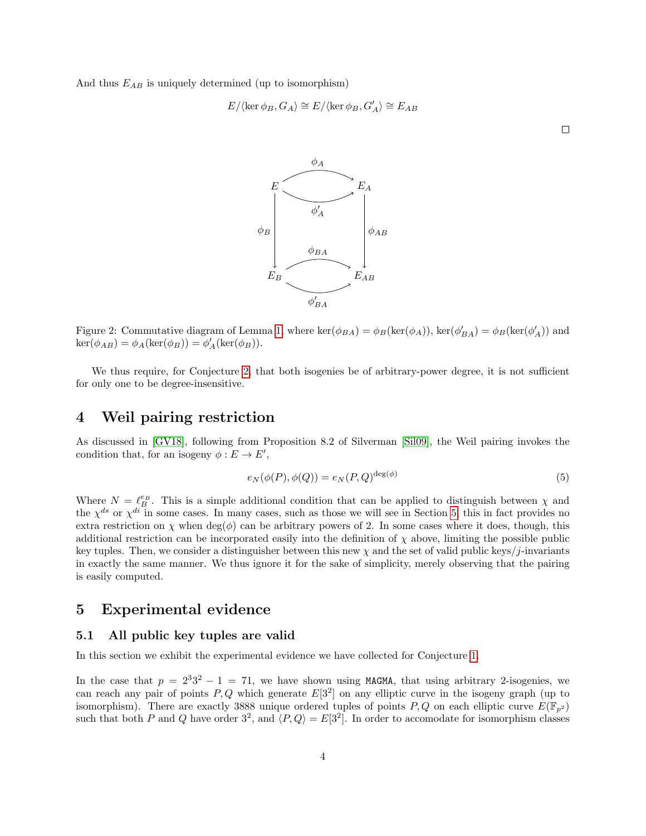And thus  $E_{AB}$  is uniquely determined (up to isomorphism)

$$
E/\langle \ker \phi_B, G_A \rangle \cong E/\langle \ker \phi_B, G'_A \rangle \cong E_{AB}
$$



<span id="page-3-0"></span>Figure 2: Commutative diagram of Lemma [1,](#page-2-2) where  $\ker(\phi_{BA}) = \phi_B(\ker(\phi_A))$ ,  $\ker(\phi'_{BA}) = \phi_B(\ker(\phi'_A))$  and  $\ker(\phi_{AB}) = \phi_A(\ker(\phi_B)) = \phi'_A(\ker(\phi_B)).$ 

We thus require, for Conjecture [2,](#page-2-1) that both isogenies be of arbitrary-power degree, it is not sufficient for only one to be degree-insensitive.

#### 4 Weil pairing restriction

As discussed in [\[GV18\]](#page-6-4), following from Proposition 8.2 of Silverman [\[Sil09\]](#page-6-5), the Weil pairing invokes the condition that, for an isogeny  $\phi : E \to E'$ ,

$$
e_N(\phi(P), \phi(Q)) = e_N(P, Q)^{\deg(\phi)}\tag{5}
$$

Where  $N = \ell_B^{e_B}$ . This is a simple additional condition that can be applied to distinguish between  $\chi$  and the  $\chi^{ds}$  or  $\chi^{di}$  in some cases. In many cases, such as those we will see in Section [5,](#page-3-1) this in fact provides no extra restriction on  $\chi$  when deg( $\phi$ ) can be arbitrary powers of 2. In some cases where it does, though, this additional restriction can be incorporated easily into the definition of  $\chi$  above, limiting the possible public key tuples. Then, we consider a distinguisher between this new  $\chi$  and the set of valid public keys/j-invariants in exactly the same manner. We thus ignore it for the sake of simplicity, merely observing that the pairing is easily computed.

### <span id="page-3-1"></span>5 Experimental evidence

#### 5.1 All public key tuples are valid

In this section we exhibit the experimental evidence we have collected for Conjecture [1.](#page-2-0)

In the case that  $p = 2^3 3^2 - 1 = 71$ , we have shown using MAGMA, that using arbitrary 2-isogenies, we can reach any pair of points  $P,Q$  which generate  $E[3^2]$  on any elliptic curve in the isogeny graph (up to isomorphism). There are exactly 3888 unique ordered tuples of points P, Q on each elliptic curve  $E(\mathbb{F}_{p^2})$ such that both P and Q have order  $3^2$ , and  $\langle P,Q \rangle = E[3^2]$ . In order to accomodate for isomorphism classes

 $\Box$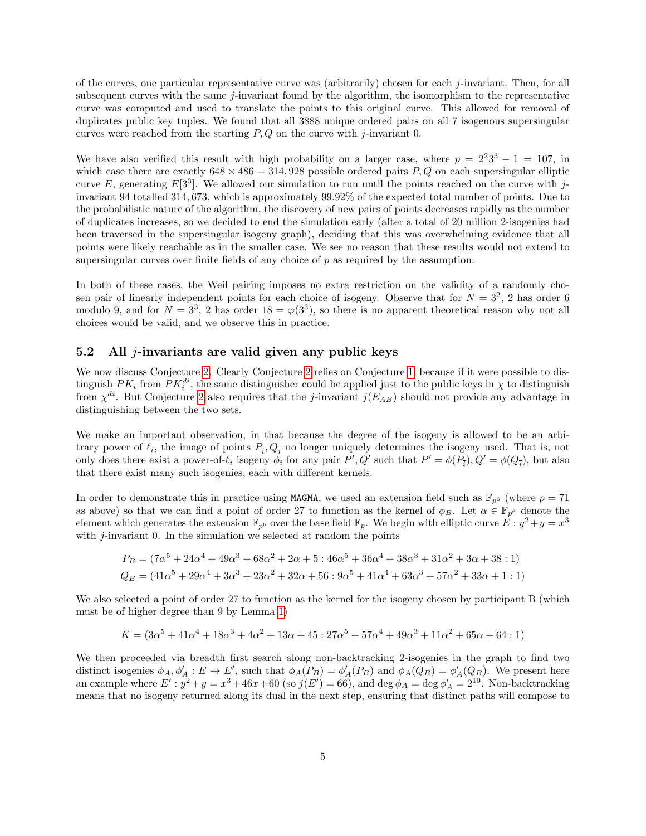of the curves, one particular representative curve was (arbitrarily) chosen for each j-invariant. Then, for all subsequent curves with the same  $j$ -invariant found by the algorithm, the isomorphism to the representative curve was computed and used to translate the points to this original curve. This allowed for removal of duplicates public key tuples. We found that all 3888 unique ordered pairs on all 7 isogenous supersingular curves were reached from the starting  $P, Q$  on the curve with j-invariant 0.

We have also verified this result with high probability on a larger case, where  $p = 2^2 3^3 - 1 = 107$ , in which case there are exactly  $648 \times 486 = 314,928$  possible ordered pairs P, Q on each supersingular elliptic curve E, generating  $E[3^3]$ . We allowed our simulation to run until the points reached on the curve with jinvariant 94 totalled 314, 673, which is approximately 99.92% of the expected total number of points. Due to the probabilistic nature of the algorithm, the discovery of new pairs of points decreases rapidly as the number of duplicates increases, so we decided to end the simulation early (after a total of 20 million 2-isogenies had been traversed in the supersingular isogeny graph), deciding that this was overwhelming evidence that all points were likely reachable as in the smaller case. We see no reason that these results would not extend to supersingular curves over finite fields of any choice of p as required by the assumption.

In both of these cases, the Weil pairing imposes no extra restriction on the validity of a randomly chosen pair of linearly independent points for each choice of isogeny. Observe that for  $N = 3^2$ , 2 has order 6 modulo 9, and for  $N = 3^3$ , 2 has order  $18 = \varphi(3^3)$ , so there is no apparent theoretical reason why not all choices would be valid, and we observe this in practice.

#### 5.2 All *-invariants are valid given any public keys*

We now discuss Conjecture [2.](#page-2-1) Clearly Conjecture [2](#page-2-1) relies on Conjecture [1,](#page-2-0) because if it were possible to distinguish  $PK_i$  from  $PK_i^{di}$ , the same distinguisher could be applied just to the public keys in  $\chi$  to distinguish from  $\chi^{di}$ . But Conjecture [2](#page-2-1) also requires that the *j*-invariant  $j(E_{AB})$  should not provide any advantage in distinguishing between the two sets.

We make an important observation, in that because the degree of the isogeny is allowed to be an arbitrary power of  $\ell_i$ , the image of points  $P_{\bar{i}}$ ,  $Q_{\bar{i}}$  no longer uniquely determines the isogeny used. That is, not only does there exist a power-of- $\ell_i$  isogeny  $\phi_i$  for any pair  $P', Q'$  such that  $P' = \phi(P_i), Q' = \phi(Q_i)$ , but also that there exist many such isogenies, each with different kernels.

In order to demonstrate this in practice using MAGMA, we used an extension field such as  $\mathbb{F}_{p^6}$  (where  $p = 71$ as above) so that we can find a point of order 27 to function as the kernel of  $\phi_B$ . Let  $\alpha \in \mathbb{F}_{p^6}$  denote the element which generates the extension  $\mathbb{F}_{p^6}$  over the base field  $\mathbb{F}_p$ . We begin with elliptic curve  $\vec{E}: y^2 + y = x^3$ with  $j$ -invariant 0. In the simulation we selected at random the points

$$
P_B = (7\alpha^5 + 24\alpha^4 + 49\alpha^3 + 68\alpha^2 + 2\alpha + 5 : 46\alpha^5 + 36\alpha^4 + 38\alpha^3 + 31\alpha^2 + 3\alpha + 38 : 1)
$$
  
\n
$$
Q_B = (41\alpha^5 + 29\alpha^4 + 3\alpha^3 + 23\alpha^2 + 32\alpha + 56 : 9\alpha^5 + 41\alpha^4 + 63\alpha^3 + 57\alpha^2 + 33\alpha + 1 : 1)
$$

We also selected a point of order 27 to function as the kernel for the isogeny chosen by participant B (which must be of higher degree than 9 by Lemma [1\)](#page-2-2)

$$
K = (3\alpha^5 + 41\alpha^4 + 18\alpha^3 + 4\alpha^2 + 13\alpha + 45 : 27\alpha^5 + 57\alpha^4 + 49\alpha^3 + 11\alpha^2 + 65\alpha + 64 : 1)
$$

We then proceeded via breadth first search along non-backtracking 2-isogenies in the graph to find two distinct isogenies  $\phi_A$ ,  $\phi'_A : E \to E'$ , such that  $\phi_A(P_B) = \phi'_A(P_B)$  and  $\phi_A(Q_B) = \phi'_A(Q_B)$ . We present here an example where  $E': y^2 + y = x^3 + 46x + 60$  (so  $j(E') = 66$ ), and  $\deg \phi_A = \deg \phi'_A = 2^{10}$ . Non-backtracking means that no isogeny returned along its dual in the next step, ensuring that distinct paths will compose to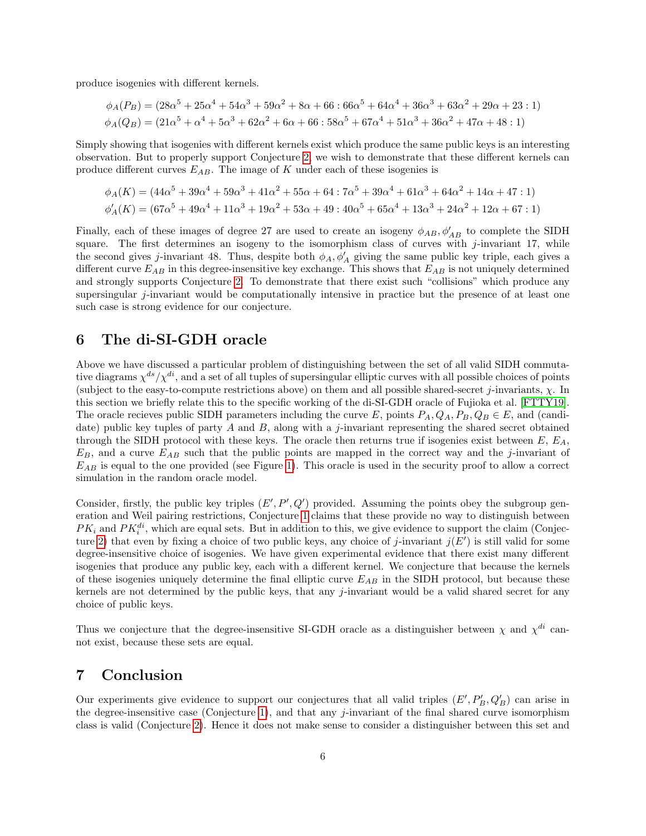produce isogenies with different kernels.

$$
\phi_A(P_B) = (28\alpha^5 + 25\alpha^4 + 54\alpha^3 + 59\alpha^2 + 8\alpha + 66 : 66\alpha^5 + 64\alpha^4 + 36\alpha^3 + 63\alpha^2 + 29\alpha + 23 : 1)
$$
  

$$
\phi_A(Q_B) = (21\alpha^5 + \alpha^4 + 5\alpha^3 + 62\alpha^2 + 6\alpha + 66 : 58\alpha^5 + 67\alpha^4 + 51\alpha^3 + 36\alpha^2 + 47\alpha + 48 : 1)
$$

Simply showing that isogenies with different kernels exist which produce the same public keys is an interesting observation. But to properly support Conjecture [2,](#page-2-1) we wish to demonstrate that these different kernels can produce different curves  $E_{AB}$ . The image of K under each of these isogenies is

$$
\phi_A(K) = (44\alpha^5 + 39\alpha^4 + 59\alpha^3 + 41\alpha^2 + 55\alpha + 64 : 7\alpha^5 + 39\alpha^4 + 61\alpha^3 + 64\alpha^2 + 14\alpha + 47 : 1)
$$
  

$$
\phi'_A(K) = (67\alpha^5 + 49\alpha^4 + 11\alpha^3 + 19\alpha^2 + 53\alpha + 49 : 40\alpha^5 + 65\alpha^4 + 13\alpha^3 + 24\alpha^2 + 12\alpha + 67 : 1)
$$

Finally, each of these images of degree 27 are used to create an isogeny  $\phi_{AB}, \phi'_{AB}$  to complete the SIDH square. The first determines an isogeny to the isomorphism class of curves with  $j$ -invariant 17, while the second gives j-invariant 48. Thus, despite both  $\phi_A, \phi'_A$  giving the same public key triple, each gives a different curve  $E_{AB}$  in this degree-insensitive key exchange. This shows that  $E_{AB}$  is not uniquely determined and strongly supports Conjecture [2.](#page-2-1) To demonstrate that there exist such "collisions" which produce any supersingular j-invariant would be computationally intensive in practice but the presence of at least one such case is strong evidence for our conjecture.

#### 6 The di-SI-GDH oracle

Above we have discussed a particular problem of distinguishing between the set of all valid SIDH commutative diagrams  $\chi^{ds}/\chi^{di}$ , and a set of all tuples of supersingular elliptic curves with all possible choices of points (subject to the easy-to-compute restrictions above) on them and all possible shared-secret j-invariants,  $\chi$ . In this section we briefly relate this to the specific working of the di-SI-GDH oracle of Fujioka et al. [\[FTTY19\]](#page-6-2). The oracle recieves public SIDH parameters including the curve E, points  $P_A, Q_A, P_B, Q_B \in E$ , and (candidate) public key tuples of party  $A$  and  $B$ , along with a j-invariant representing the shared secret obtained through the SIDH protocol with these keys. The oracle then returns true if isogenies exist between  $E, E<sub>A</sub>$ ,  $E_B$ , and a curve  $E_{AB}$  such that the public points are mapped in the correct way and the j-invariant of  $E_{AB}$  is equal to the one provided (see Figure [1\)](#page-0-0). This oracle is used in the security proof to allow a correct simulation in the random oracle model.

Consider, firstly, the public key triples  $(E', P', Q')$  provided. Assuming the points obey the subgroup generation and Weil pairing restrictions, Conjecture [1](#page-2-0) claims that these provide no way to distinguish between  $PK_i$  and  $PK_i^{di}$ , which are equal sets. But in addition to this, we give evidence to support the claim (Conjec-ture [2\)](#page-2-1) that even by fixing a choice of two public keys, any choice of j-invariant  $j(E')$  is still valid for some degree-insensitive choice of isogenies. We have given experimental evidence that there exist many different isogenies that produce any public key, each with a different kernel. We conjecture that because the kernels of these isogenies uniquely determine the final elliptic curve  $E_{AB}$  in the SIDH protocol, but because these kernels are not determined by the public keys, that any j-invariant would be a valid shared secret for any choice of public keys.

Thus we conjecture that the degree-insensitive SI-GDH oracle as a distinguisher between  $\chi$  and  $\chi^{di}$  cannot exist, because these sets are equal.

## 7 Conclusion

Our experiments give evidence to support our conjectures that all valid triples  $(E', P'_B, Q'_B)$  can arise in the degree-insensitive case (Conjecture [1\)](#page-2-0), and that any j-invariant of the final shared curve isomorphism class is valid (Conjecture [2\)](#page-2-1). Hence it does not make sense to consider a distinguisher between this set and